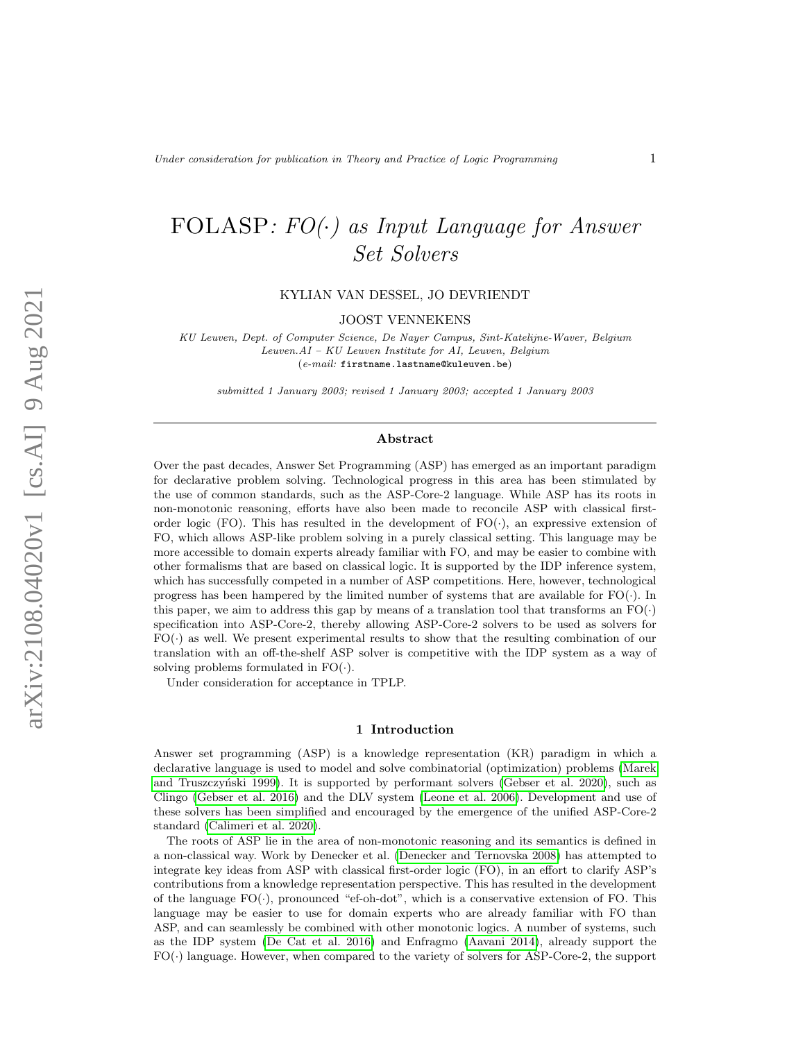# FOLASP:  $FO(\cdot)$  as Input Language for Answer Set Solvers

KYLIAN VAN DESSEL, JO DEVRIENDT

JOOST VENNEKENS

KU Leuven, Dept. of Computer Science, De Nayer Campus, Sint-Katelijne-Waver, Belgium Leuven.AI – KU Leuven Institute for AI, Leuven, Belgium (e-mail: firstname.lastname@kuleuven.be)

submitted 1 January 2003; revised 1 January 2003; accepted 1 January 2003

#### Abstract

Over the past decades, Answer Set Programming (ASP) has emerged as an important paradigm for declarative problem solving. Technological progress in this area has been stimulated by the use of common standards, such as the ASP-Core-2 language. While ASP has its roots in non-monotonic reasoning, efforts have also been made to reconcile ASP with classical firstorder logic (FO). This has resulted in the development of  $FO(\cdot)$ , an expressive extension of FO, which allows ASP-like problem solving in a purely classical setting. This language may be more accessible to domain experts already familiar with FO, and may be easier to combine with other formalisms that are based on classical logic. It is supported by the IDP inference system, which has successfully competed in a number of ASP competitions. Here, however, technological progress has been hampered by the limited number of systems that are available for  $FO(\cdot)$ . In this paper, we aim to address this gap by means of a translation tool that transforms an  $FO(\cdot)$ specification into ASP-Core-2, thereby allowing ASP-Core-2 solvers to be used as solvers for  $FO(\cdot)$  as well. We present experimental results to show that the resulting combination of our translation with an off-the-shelf ASP solver is competitive with the IDP system as a way of solving problems formulated in  $FO(\cdot)$ .

Under consideration for acceptance in TPLP.

#### 1 Introduction

Answer set programming (ASP) is a knowledge representation (KR) paradigm in which a declarative language is used to model and solve combinatorial (optimization) problems [\(Marek](#page-14-0) and Truszczyński 1999). It is supported by performant solvers [\(Gebser et al. 2020\)](#page-14-1), such as Clingo [\(Gebser et al. 2016\)](#page-14-2) and the DLV system [\(Leone et al. 2006\)](#page-14-3). Development and use of these solvers has been simplified and encouraged by the emergence of the unified ASP-Core-2 standard [\(Calimeri et al. 2020\)](#page-13-0).

The roots of ASP lie in the area of non-monotonic reasoning and its semantics is defined in a non-classical way. Work by Denecker et al. [\(Denecker and Ternovska 2008\)](#page-14-4) has attempted to integrate key ideas from ASP with classical first-order logic (FO), in an effort to clarify ASP's contributions from a knowledge representation perspective. This has resulted in the development of the language  $FO(\cdot)$ , pronounced "ef-oh-dot", which is a conservative extension of FO. This language may be easier to use for domain experts who are already familiar with FO than ASP, and can seamlessly be combined with other monotonic logics. A number of systems, such as the IDP system [\(De Cat et al. 2016\)](#page-13-1) and Enfragmo [\(Aavani 2014\)](#page-13-2), already support the FO(·) language. However, when compared to the variety of solvers for ASP-Core-2, the support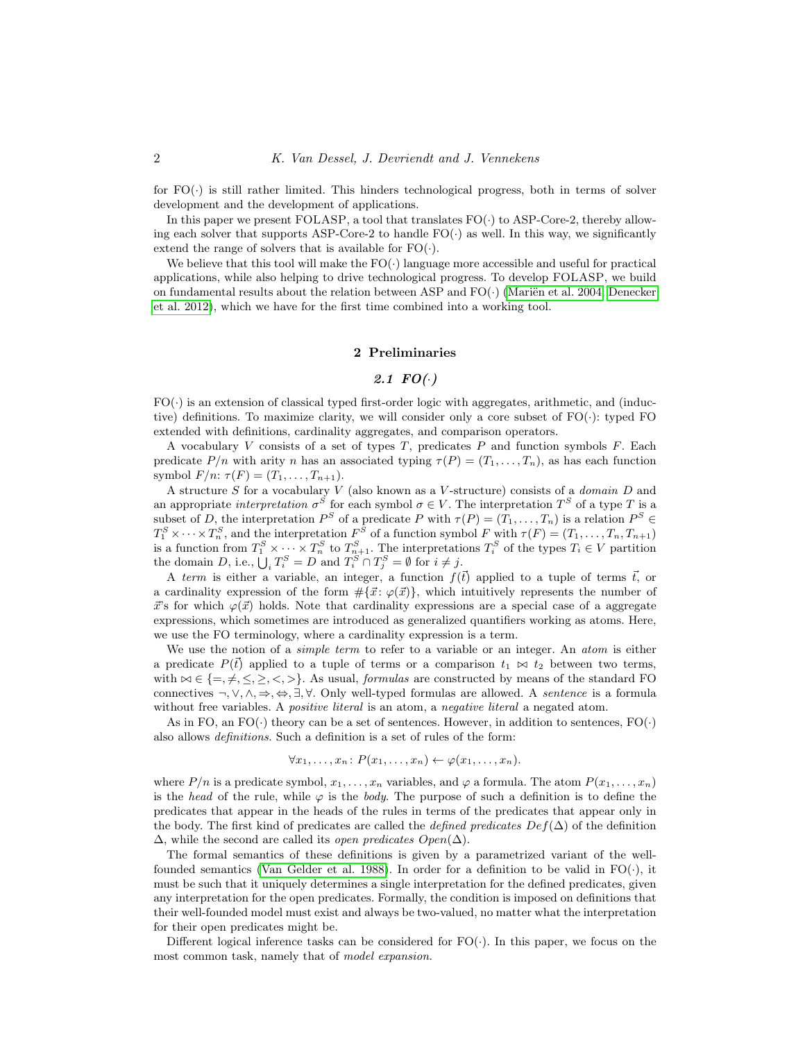for  $FO(\cdot)$  is still rather limited. This hinders technological progress, both in terms of solver development and the development of applications.

In this paper we present FOLASP, a tool that translates  $FO(\cdot)$  to ASP-Core-2, thereby allowing each solver that supports ASP-Core-2 to handle  $FO(\cdot)$  as well. In this way, we significantly extend the range of solvers that is available for  $FO(\cdot)$ .

We believe that this tool will make the  $FO(\cdot)$  language more accessible and useful for practical applications, while also helping to drive technological progress. To develop FOLASP, we build on fundamental results about the relation between ASP and  $FO(\cdot)$  (Mariën et al. 2004; [Denecker](#page-14-6) [et al. 2012\)](#page-14-6), which we have for the first time combined into a working tool.

#### 2 Preliminaries

## 2.1  $FO(\cdot)$

<span id="page-1-0"></span> $FO(\cdot)$  is an extension of classical typed first-order logic with aggregates, arithmetic, and (inductive) definitions. To maximize clarity, we will consider only a core subset of  $FO(\cdot)$ : typed FO extended with definitions, cardinality aggregates, and comparison operators.

A vocabulary  $V$  consists of a set of types  $T$ , predicates  $P$  and function symbols  $F$ . Each predicate  $P/n$  with arity n has an associated typing  $\tau(P) = (T_1, \ldots, T_n)$ , as has each function symbol  $F/n$ :  $\tau(F) = (T_1, \ldots, T_{n+1})$ .

A structure  $S$  for a vocabulary  $V$  (also known as a  $V$ -structure) consists of a *domain*  $D$  and an appropriate interpretation  $\sigma^S$  for each symbol  $\sigma \in V$ . The interpretation  $T^S$  of a type T is a subset of D, the interpretation  $P^S$  of a predicate P with  $\tau(P) = (T_1, \ldots, T_n)$  is a relation  $P^S \in$  $T_1^S \times \cdots \times T_n^S$ , and the interpretation  $F^S$  of a function symbol F with  $\tau(F) = (T_1, \ldots, T_n, T_{n+1})$ is a function from  $T_1^S \times \cdots \times T_n^S$  to  $T_{n+1}^S$ . The interpretations  $T_i^S$  of the types  $T_i \in V$  partition the domain D, i.e.,  $\bigcup_i T_i^S = D$  and  $T_i^S \cap T_j^S = \emptyset$  for  $i \neq j$ .

A term is either a variable, an integer, a function  $f(\vec{t})$  applied to a tuple of terms  $\vec{t}$ , or a cardinality expression of the form  $\#\{\vec{x}: \varphi(\vec{x})\}$ , which intuitively represents the number of  $\vec{x}$ 's for which  $\varphi(\vec{x})$  holds. Note that cardinality expressions are a special case of a aggregate expressions, which sometimes are introduced as generalized quantifiers working as atoms. Here, we use the FO terminology, where a cardinality expression is a term.

We use the notion of a *simple term* to refer to a variable or an integer. An *atom* is either a predicate  $P(\vec{t})$  applied to a tuple of terms or a comparison  $t_1 \bowtie t_2$  between two terms, with  $\bowtie \in \{ =, \neq, \leq, \geq, \lt, \gt\}$ . As usual, *formulas* are constructed by means of the standard FO connectives  $\neg, \vee, \wedge, \Rightarrow, \Leftrightarrow, \exists, \forall$ . Only well-typed formulas are allowed. A sentence is a formula without free variables. A *positive literal* is an atom, a *negative literal* a negated atom.

As in FO, an FO(·) theory can be a set of sentences. However, in addition to sentences,  $FO(\cdot)$ also allows definitions. Such a definition is a set of rules of the form:

$$
\forall x_1, \ldots, x_n \colon P(x_1, \ldots, x_n) \leftarrow \varphi(x_1, \ldots, x_n).
$$

where  $P/n$  is a predicate symbol,  $x_1, \ldots, x_n$  variables, and  $\varphi$  a formula. The atom  $P(x_1, \ldots, x_n)$ is the head of the rule, while  $\varphi$  is the body. The purpose of such a definition is to define the predicates that appear in the heads of the rules in terms of the predicates that appear only in the body. The first kind of predicates are called the *defined predicates*  $Def(\Delta)$  of the definition  $\Delta$ , while the second are called its *open predicates Open*( $\Delta$ ).

The formal semantics of these definitions is given by a parametrized variant of the well-founded semantics [\(Van Gelder et al. 1988\)](#page-14-7). In order for a definition to be valid in  $FO(\cdot)$ , it must be such that it uniquely determines a single interpretation for the defined predicates, given any interpretation for the open predicates. Formally, the condition is imposed on definitions that their well-founded model must exist and always be two-valued, no matter what the interpretation for their open predicates might be.

Different logical inference tasks can be considered for  $FO(\cdot)$ . In this paper, we focus on the most common task, namely that of *model expansion*.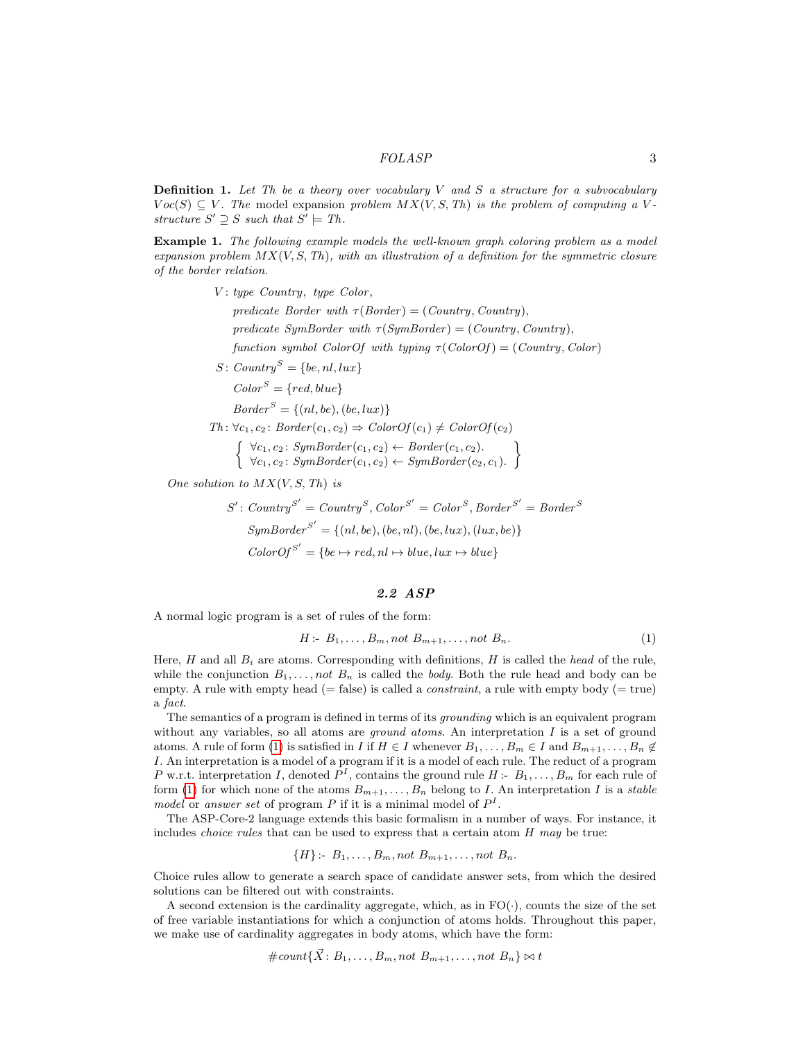**Definition 1.** Let Th be a theory over vocabulary V and S a structure for a subvocabulary  $Voc(S) \subseteq V$ . The model expansion problem  $MX(V, S, Th)$  is the problem of computing a Vstructure  $S' \supseteq S$  such that  $S' \models Th$ .

Example 1. The following example models the well-known graph coloring problem as a model expansion problem  $MX(V, S, Th)$ , with an illustration of a definition for the symmetric closure of the border relation.

 $V: type: Country, type: Color,$ 

predicate Border with  $\tau(Border) = (Country, Country),$ predicate SymBorder with  $\tau(SymBorder) = (Country, Country),$ function symbol ColorOf with typing  $\tau$ (ColorOf) = (Country, Color)

 $S: Country^S = \{be, nl, lux\}$ 

$$
Color^S = \{ red, blue\}
$$

$$
Border^S = \{(nl, be), (be, lux)\}
$$

 $Th: \forall c_1, c_2 \colon Border(c_1, c_2) \Rightarrow ColorOf(c_1) \ne ColorOf(c_2)$ 

 $\int \forall c_1, c_2$ : SymBorder $(c_1, c_2) \leftarrow Border(c_1, c_2)$ .  $\forall c_1, c_2 \colon SymBorder(c_1, c_2) \leftarrow SymBorder(c_2, c_1).$  $\mathcal{L}$ 

One solution to  $MX(V, S, Th)$  is

$$
S': Country^{S'} = Country^{S}, Color^{S'} = Color^{S}, Border^{S'} = Border^{S}
$$

$$
SymBorder^{S'} = \{(nl, be), (be, nl), (be, lux), (lux, be)\}
$$

$$
ColorOf^{S'} = \{be \mapsto red, nl \mapsto blue, lux \mapsto blue\}
$$

## 2.2 ASP

A normal logic program is a set of rules of the form:

<span id="page-2-0"></span>
$$
H: B_1, \ldots, B_m, not B_{m+1}, \ldots, not B_n. \tag{1}
$$

Here, H and all  $B_i$  are atoms. Corresponding with definitions, H is called the head of the rule, while the conjunction  $B_1, \ldots, not B_n$  is called the *body*. Both the rule head and body can be empty. A rule with empty head (= false) is called a *constraint*, a rule with empty body (= true) a fact.

The semantics of a program is defined in terms of its grounding which is an equivalent program without any variables, so all atoms are *ground atoms*. An interpretation  $I$  is a set of ground atoms. A rule of form [\(1\)](#page-2-0) is satisfied in I if  $H \in I$  whenever  $B_1, \ldots, B_m \in I$  and  $B_{m+1}, \ldots, B_n \notin I$ I. An interpretation is a model of a program if it is a model of each rule. The reduct of a program P w.r.t. interpretation I, denoted  $P<sup>I</sup>$ , contains the ground rule  $H: B_1, \ldots, B_m$  for each rule of form [\(1\)](#page-2-0) for which none of the atoms  $B_{m+1}, \ldots, B_n$  belong to I. An interpretation I is a stable model or answer set of program P if it is a minimal model of  $P<sup>I</sup>$ .

The ASP-Core-2 language extends this basic formalism in a number of ways. For instance, it includes *choice rules* that can be used to express that a certain atom  $H$  may be true:

 $\{H\}$ :-  $B_1, \ldots, B_m$ , not  $B_{m+1}, \ldots$ , not  $B_n$ .

Choice rules allow to generate a search space of candidate answer sets, from which the desired solutions can be filtered out with constraints.

A second extension is the cardinality aggregate, which, as in  $FO(\cdot)$ , counts the size of the set of free variable instantiations for which a conjunction of atoms holds. Throughout this paper, we make use of cardinality aggregates in body atoms, which have the form:

$$
\# count\{\vec{X}: B_1, \ldots, B_m, not B_{m+1}, \ldots, not B_n\} \bowtie t
$$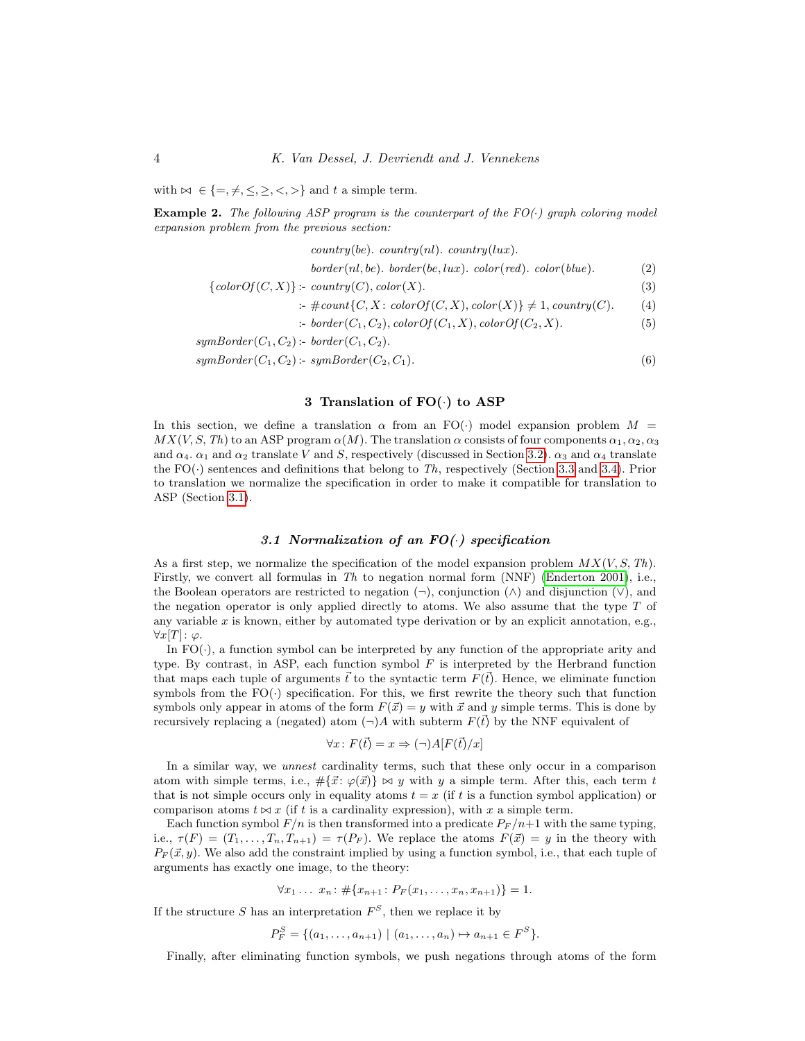with  $\bowtie \in \{ =, \neq, \leq, \geq, \lt,, \gt\}$  and t a simple term.

<span id="page-3-1"></span>**Example 2.** The following ASP program is the counterpart of the  $FO(\cdot)$  graph coloring model expansion problem from the previous section:

 $country(be)$ .  $country(nl)$ .  $country(lux)$ .  $border(nl, be)$ .  $border(be, lux)$ .  $color(red)$ .  $color(blue)$ . (2)  ${colorOf}(C, X)$  :  $country(C), color(X).$  (3) :-  $\# count\{C, X : colorOf(C, X), color(X)\} \neq 1, country(C).$  (4) :- border  $(C_1, C_2)$ , color  $Of(C_1, X)$ , color  $Of(C_2, X)$ . (5)  $symBorder(C_1, C_2)$ :- border $(C_1, C_2)$ .

 $symBorder(C_1, C_2)$ :  $symBorder(C_2, C_1)$ . (6)

## <span id="page-3-6"></span><span id="page-3-5"></span><span id="page-3-4"></span><span id="page-3-3"></span><span id="page-3-2"></span>3 Translation of FO(·) to ASP

In this section, we define a translation  $\alpha$  from an FO(·) model expansion problem  $M =$  $MX(V, S, Th)$  to an ASP program  $\alpha(M)$ . The translation  $\alpha$  consists of four components  $\alpha_1, \alpha_2, \alpha_3$ and  $\alpha_4$ .  $\alpha_1$  and  $\alpha_2$  translate V and S, respectively (discussed in Section [3.2\)](#page-4-0).  $\alpha_3$  and  $\alpha_4$  translate the  $FO(\cdot)$  sentences and definitions that belong to Th, respectively (Section [3.3](#page-5-0) and [3.4\)](#page-6-0). Prior to translation we normalize the specification in order to make it compatible for translation to ASP (Section [3.1\)](#page-3-0).

## 3.1 Normalization of an  $FO(\cdot)$  specification

<span id="page-3-0"></span>As a first step, we normalize the specification of the model expansion problem  $MX(V, S, Th)$ . Firstly, we convert all formulas in Th to negation normal form (NNF) [\(Enderton 2001\)](#page-14-8), i.e., the Boolean operators are restricted to negation  $(\neg)$ , conjunction  $(\land)$  and disjunction  $(\lor)$ , and the negation operator is only applied directly to atoms. We also assume that the type  $T$  of any variable  $x$  is known, either by automated type derivation or by an explicit annotation, e.g.,  $\forall x[T]: \varphi.$ 

In  $FO(\cdot)$ , a function symbol can be interpreted by any function of the appropriate arity and type. By contrast, in ASP, each function symbol  $F$  is interpreted by the Herbrand function that maps each tuple of arguments  $\vec{t}$  to the syntactic term  $F(\vec{t})$ . Hence, we eliminate function symbols from the  $FO(\cdot)$  specification. For this, we first rewrite the theory such that function symbols only appear in atoms of the form  $F(\vec{x}) = y$  with  $\vec{x}$  and y simple terms. This is done by recursively replacing a (negated) atom  $(\neg)A$  with subterm  $F(\vec{t})$  by the NNF equivalent of

$$
\forall x \colon F(\vec{t}) = x \Rightarrow (\neg)A[F(\vec{t})/x]
$$

In a similar way, we unnest cardinality terms, such that these only occur in a comparison atom with simple terms, i.e.,  $\#\{\vec{x}: \varphi(\vec{x})\} \bowtie y$  with y a simple term. After this, each term t that is not simple occurs only in equality atoms  $t = x$  (if t is a function symbol application) or comparison atoms  $t \bowtie x$  (if t is a cardinality expression), with x a simple term.

Each function symbol  $F/n$  is then transformed into a predicate  $P_F/n+1$  with the same typing, i.e.,  $\tau(F) = (T_1, \ldots, T_n, T_{n+1}) = \tau(P_F)$ . We replace the atoms  $F(\vec{x}) = y$  in the theory with  $P_F(\vec{x}, y)$ . We also add the constraint implied by using a function symbol, i.e., that each tuple of arguments has exactly one image, to the theory:

$$
\forall x_1 \ldots x_n : \# \{x_{n+1} : P_F(x_1, \ldots, x_n, x_{n+1})\} = 1.
$$

If the structure S has an interpretation  $F^S$ , then we replace it by

 $P_F^S = \{(a_1, \ldots, a_{n+1}) \mid (a_1, \ldots, a_n) \mapsto a_{n+1} \in F^S\}.$ 

Finally, after eliminating function symbols, we push negations through atoms of the form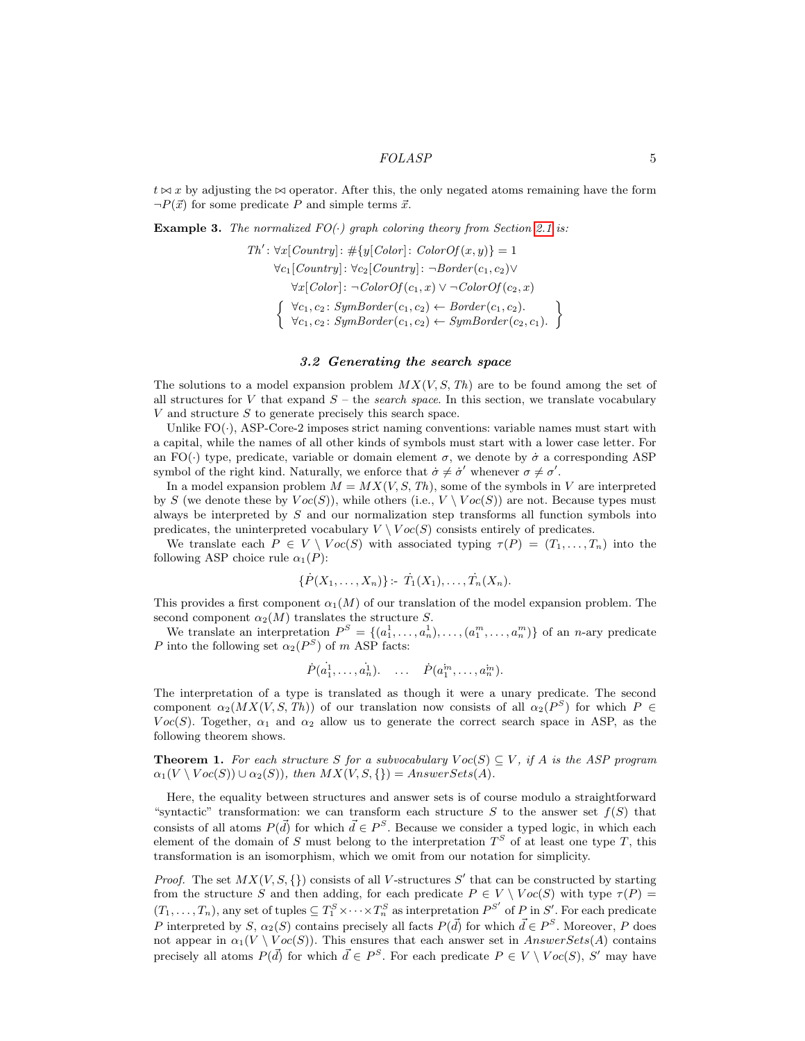$t \bowtie x$  by adjusting the  $\bowtie$  operator. After this, the only negated atoms remaining have the form  $\neg P(\vec{x})$  for some predicate P and simple terms  $\vec{x}$ .

<span id="page-4-2"></span>**Example 3.** The normalized  $FO(\cdot)$  graph coloring theory from Section [2.1](#page-1-0) is:

$$
Th': \forall x [Country]: # \{y[Color]: ColorOf(x, y)\} = 1
$$

$$
\forall c_1 [Country]: \forall c_2 [Country]: \neg Border(c_1, c_2) \lor \forall x [Color]: \neg ColorOf(c_1, x) \lor \neg ColorOf(c_2, x)
$$

$$
\left\{\begin{array}{c}\forall c_1, c_2: SymBorder(c_1, c_2) \leftarrow Border(c_1, c_2).\\ \forall c_1, c_2: SymBorder(c_1, c_2) \leftarrow SymBorder(c_2, c_1). \end{array}\right\}
$$

## 3.2 Generating the search space

<span id="page-4-0"></span>The solutions to a model expansion problem  $MX(V, S, Th)$  are to be found among the set of all structures for V that expand  $S$  – the search space. In this section, we translate vocabulary  $V$  and structure  $S$  to generate precisely this search space.

Unlike  $FO(\cdot)$ , ASP-Core-2 imposes strict naming conventions: variable names must start with a capital, while the names of all other kinds of symbols must start with a lower case letter. For an FO(·) type, predicate, variable or domain element  $\sigma$ , we denote by  $\dot{\sigma}$  a corresponding ASP symbol of the right kind. Naturally, we enforce that  $\dot{\sigma} \neq \dot{\sigma}'$  whenever  $\sigma \neq \sigma'$ .

In a model expansion problem  $M = MX(V, S, Th)$ , some of the symbols in V are interpreted by S (we denote these by  $Voc(S)$ ), while others (i.e.,  $V \setminus Voc(S)$ ) are not. Because types must always be interpreted by  $S$  and our normalization step transforms all function symbols into predicates, the uninterpreted vocabulary  $V \setminus Voc(S)$  consists entirely of predicates.

We translate each  $P \in V \setminus \text{Voc}(S)$  with associated typing  $\tau(P) = (T_1, \ldots, T_n)$  into the following ASP choice rule  $\alpha_1(P)$ :

$$
\{\dot{P}(X_1,\ldots,X_n)\} \colon \dot{T}_1(X_1),\ldots,\dot{T}_n(X_n).
$$

This provides a first component  $\alpha_1(M)$  of our translation of the model expansion problem. The second component  $\alpha_2(M)$  translates the structure S.

We translate an interpretation  $P^S = \{(a_1^1, \ldots, a_n^1), \ldots, (a_1^m, \ldots, a_n^m)\}\$  of an *n*-ary predicate P into the following set  $\alpha_2(P^S)$  of m ASP facts:

$$
\dot{P}(a_1^1,\ldots,a_n^1). \quad \ldots \quad \dot{P}(a_1^m,\ldots,a_n^m).
$$

The interpretation of a type is translated as though it were a unary predicate. The second component  $\alpha_2(MX(V, S, Th))$  of our translation now consists of all  $\alpha_2(P^S)$  for which  $P \in$ Voc(S). Together,  $\alpha_1$  and  $\alpha_2$  allow us to generate the correct search space in ASP, as the following theorem shows.

<span id="page-4-1"></span>**Theorem 1.** For each structure S for a subvocabulary  $Vec(S) \subseteq V$ , if A is the ASP program  $\alpha_1(V \setminus \text{Voc}(S)) \cup \alpha_2(S)$ , then  $MX(V, S, \{\}) = AnswerSets(A)$ .

Here, the equality between structures and answer sets is of course modulo a straightforward "syntactic" transformation: we can transform each structure S to the answer set  $f(S)$  that consists of all atoms  $P(\vec{d})$  for which  $\vec{d} \in P^S$ . Because we consider a typed logic, in which each element of the domain of S must belong to the interpretation  $T<sup>S</sup>$  of at least one type T, this transformation is an isomorphism, which we omit from our notation for simplicity.

*Proof.* The set  $MX(V, S, \{\})$  consists of all V-structures S' that can be constructed by starting from the structure S and then adding, for each predicate  $P \in V \setminus \text{Voc}(S)$  with type  $\tau(P) =$  $(T_1,\ldots,T_n)$ , any set of tuples  $\subseteq T_1^S\times\cdots\times T_n^S$  as interpretation  $P^{S'}$  of P in S'. For each predicate P interpreted by S,  $\alpha_2(S)$  contains precisely all facts  $P(\vec{d})$  for which  $\vec{d} \in P^S$ . Moreover, P does not appear in  $\alpha_1(V \setminus \text{Voc}(S))$ . This ensures that each answer set in AnswerSets(A) contains precisely all atoms  $P(\vec{d})$  for which  $\vec{d} \in P^S$ . For each predicate  $P \in V \setminus \text{Voc}(S)$ , S' may have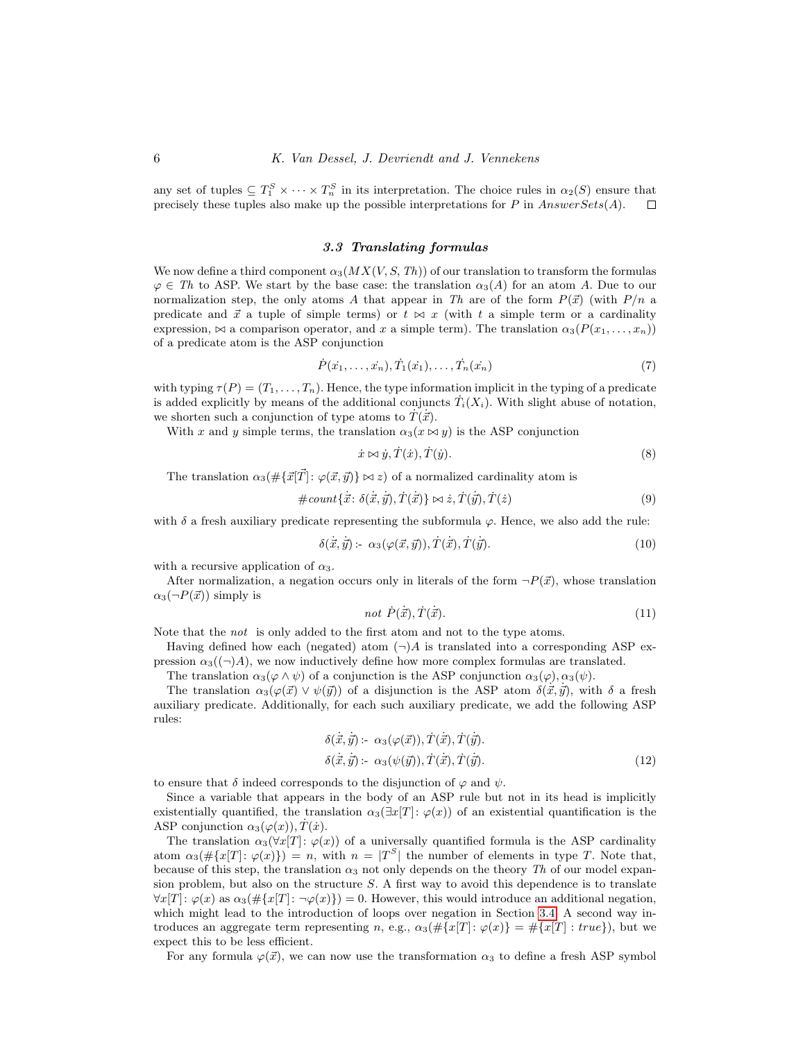any set of tuples  $\subseteq T_1^S \times \cdots \times T_n^S$  in its interpretation. The choice rules in  $\alpha_2(S)$  ensure that precisely these tuples also make up the possible interpretations for P in  $Answers(A)$ .  $\Box$ 

#### 3.3 Translating formulas

<span id="page-5-0"></span>We now define a third component  $\alpha_3(MX(V, S, Th))$  of our translation to transform the formulas  $\varphi \in Th$  to ASP. We start by the base case: the translation  $\alpha_3(A)$  for an atom A. Due to our normalization step, the only atoms A that appear in Th are of the form  $P(\vec{x})$  (with  $P/n$  a predicate and  $\vec{x}$  a tuple of simple terms) or  $t \bowtie x$  (with t a simple term or a cardinality expression,  $\bowtie$  a comparison operator, and x a simple term). The translation  $\alpha_3(P(x_1, \ldots, x_n))$ of a predicate atom is the ASP conjunction

<span id="page-5-3"></span>
$$
\dot{P}(x_1, \ldots, x_n), \dot{T}_1(x_1), \ldots, \dot{T}_n(x_n) \tag{7}
$$

with typing  $\tau(P) = (T_1, \ldots, T_n)$ . Hence, the type information implicit in the typing of a predicate is added explicitly by means of the additional conjuncts  $\dot{T}_i(X_i)$ . With slight abuse of notation, we shorten such a conjunction of type atoms to  $\dot{T}(\dot{\vec{x}})$ .

With x and y simple terms, the translation  $\alpha_3(x \bowtie y)$  is the ASP conjunction

<span id="page-5-4"></span>
$$
\dot{x} \bowtie \dot{y}, \dot{T}(\dot{x}), \dot{T}(\dot{y}). \tag{8}
$$

The translation  $\alpha_3(\# {\{\vec{x}[\vec{T}] : \varphi(\vec{x}, \vec{y})\}} \bowtie z)$  of a normalized cardinality atom is

$$
\# count{\vec{x}} \colon \delta(\vec{x}, \vec{y}), \dot{T}(\vec{x})\} \bowtie \dot{z}, \dot{T}(\dot{\vec{y}}), \dot{T}(\dot{z})
$$
\n(9)

with  $\delta$  a fresh auxiliary predicate representing the subformula  $\varphi$ . Hence, we also add the rule:

<span id="page-5-1"></span>
$$
\delta(\vec{x}, \vec{y}) \coloneq \alpha_3(\varphi(\vec{x}, \vec{y})), \dot{T}(\vec{x}), \dot{T}(\vec{y}). \tag{10}
$$

with a recursive application of  $\alpha_3$ .

After normalization, a negation occurs only in literals of the form  $\neg P(\vec{x})$ , whose translation  $\alpha_3(\neg P(\vec{x}))$  simply is ˙~x), T˙(

<span id="page-5-2"></span>
$$
not \ \dot{P}(\dot{x}), \dot{T}(\dot{x}). \tag{11}
$$

Note that the not is only added to the first atom and not to the type atoms.

Having defined how each (negated) atom  $(\neg)A$  is translated into a corresponding ASP expression  $\alpha_3(\neg A)$ , we now inductively define how more complex formulas are translated.

The translation  $\alpha_3(\varphi \wedge \psi)$  of a conjunction is the ASP conjunction  $\alpha_3(\varphi)$ ,  $\alpha_3(\psi)$ .

The translation  $\alpha_3(\varphi(\vec{x}) \vee \psi(\vec{y}))$  of a disjunction is the ASP atom  $\delta(\dot{\vec{x}}, \dot{\vec{y}})$ , with  $\delta$  a fresh auxiliary predicate. Additionally, for each such auxiliary predicate, we add the following ASP rules:

$$
\delta(\dot{\vec{x}}, \dot{\vec{y}}) \coloneq \alpha_3(\varphi(\vec{x})), \dot{T}(\dot{\vec{x}}), \dot{T}(\dot{\vec{y}}).
$$
  
\n
$$
\delta(\dot{\vec{x}}, \dot{\vec{y}}) \coloneq \alpha_3(\psi(\vec{y})), \dot{T}(\dot{\vec{x}}), \dot{T}(\dot{\vec{y}}).
$$
\n(12)

to ensure that  $\delta$  indeed corresponds to the disjunction of  $\varphi$  and  $\psi$ .

Since a variable that appears in the body of an ASP rule but not in its head is implicitly existentially quantified, the translation  $\alpha_3(\exists x[T]: \varphi(x))$  of an existential quantification is the ASP conjunction  $\alpha_3(\varphi(x)), T(x)$ .

The translation  $\alpha_3(\forall x[T]: \varphi(x))$  of a universally quantified formula is the ASP cardinality atom  $\alpha_3(\# \{x[T]: \varphi(x)\}) = n$ , with  $n = |T^S|$  the number of elements in type T. Note that, because of this step, the translation  $\alpha_3$  not only depends on the theory Th of our model expansion problem, but also on the structure  $S$ . A first way to avoid this dependence is to translate  $\forall x[T]: \varphi(x)$  as  $\alpha_3(\#\{x[T]: \neg \varphi(x)\}) = 0$ . However, this would introduce an additional negation, which might lead to the introduction of loops over negation in Section [3.4.](#page-6-0) A second way introduces an aggregate term representing n, e.g.,  $\alpha_3(\# \{x|T| : \varphi(x)\} = \# \{x|T| : true\})$ , but we expect this to be less efficient.

For any formula  $\varphi(\vec{x})$ , we can now use the transformation  $\alpha_3$  to define a fresh ASP symbol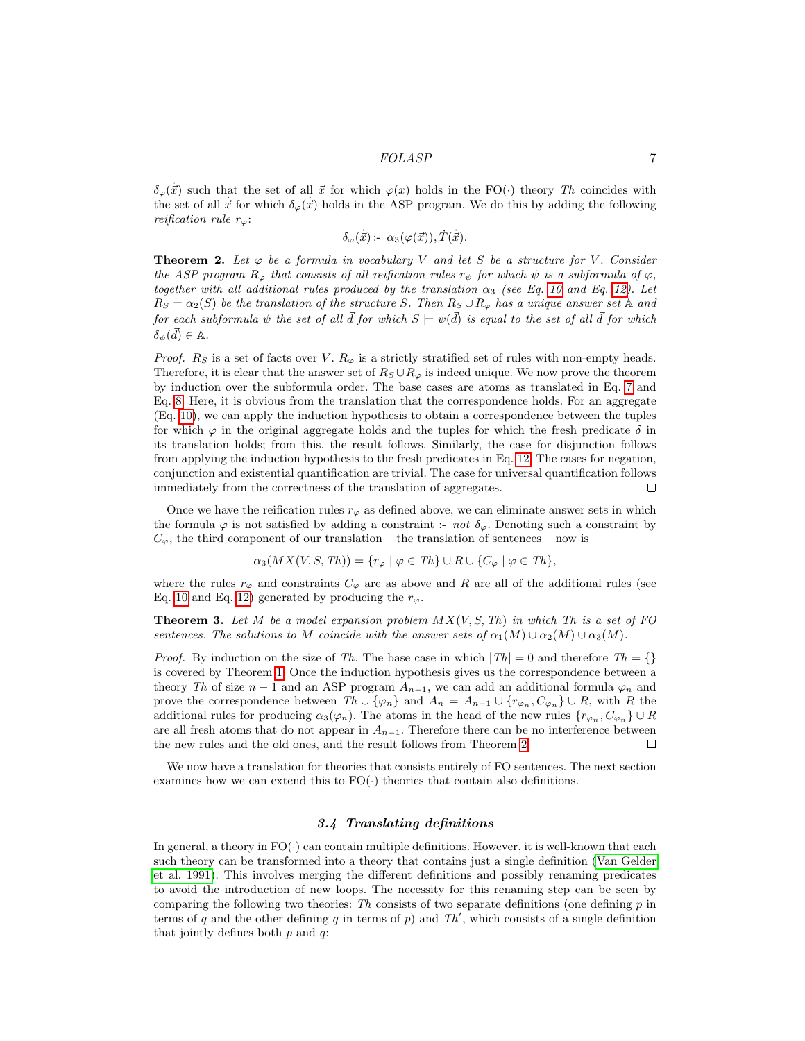$\delta_{\varphi}(\dot{\vec{x}})$  such that the set of all  $\vec{x}$  for which  $\varphi(x)$  holds in the FO(·) theory Th coincides with the set of all  $\dot{x}$  for which  $\delta_{\varphi}(\dot{x})$  holds in the ASP program. We do this by adding the following reification rule  $r_{\varphi}$ :

$$
\delta_{\varphi}(\dot{\vec{x}}): \alpha_3(\varphi(\vec{x})), \dot{T}(\dot{\vec{x}}).
$$

<span id="page-6-1"></span>**Theorem 2.** Let  $\varphi$  be a formula in vocabulary V and let S be a structure for V. Consider the ASP program  $R_{\varphi}$  that consists of all reification rules  $r_{\psi}$  for which  $\psi$  is a subformula of  $\varphi$ , together with all additional rules produced by the translation  $\alpha_3$  (see Eq. [10](#page-5-1) and Eq. [12\)](#page-5-2). Let  $R_S = \alpha_2(S)$  be the translation of the structure S. Then  $R_S \cup R_\varphi$  has a unique answer set A and for each subformula  $\psi$  the set of all  $\vec{d}$  for which  $S \models \psi(\vec{d})$  is equal to the set of all  $\vec{d}$  for which  $\delta_{\psi}(\vec{d}) \in \mathbb{A}.$ 

*Proof.*  $R_S$  is a set of facts over V.  $R_{\varphi}$  is a strictly stratified set of rules with non-empty heads. Therefore, it is clear that the answer set of  $R_S \cup R_\varphi$  is indeed unique. We now prove the theorem by induction over the subformula order. The base cases are atoms as translated in Eq. [7](#page-5-3) and Eq. [8.](#page-5-4) Here, it is obvious from the translation that the correspondence holds. For an aggregate (Eq. [10\)](#page-5-1), we can apply the induction hypothesis to obtain a correspondence between the tuples for which  $\varphi$  in the original aggregate holds and the tuples for which the fresh predicate  $\delta$  in its translation holds; from this, the result follows. Similarly, the case for disjunction follows from applying the induction hypothesis to the fresh predicates in Eq. [12.](#page-5-2) The cases for negation, conjunction and existential quantification are trivial. The case for universal quantification follows immediately from the correctness of the translation of aggregates.  $\Box$ 

Once we have the reification rules  $r_{\varphi}$  as defined above, we can eliminate answer sets in which the formula  $\varphi$  is not satisfied by adding a constraint :- not  $\delta_{\varphi}$ . Denoting such a constraint by  $C_{\varphi}$ , the third component of our translation – the translation of sentences – now is

$$
\alpha_3(MX(V, S, Th)) = \{r_{\varphi} \mid \varphi \in Th\} \cup R \cup \{C_{\varphi} \mid \varphi \in Th\},\
$$

where the rules  $r_{\varphi}$  and constraints  $C_{\varphi}$  are as above and R are all of the additional rules (see Eq. [10](#page-5-1) and Eq. [12\)](#page-5-2) generated by producing the  $r_{\varphi}$ .

**Theorem 3.** Let M be a model expansion problem  $MX(V, S, Th)$  in which Th is a set of FO sentences. The solutions to M coincide with the answer sets of  $\alpha_1(M) \cup \alpha_2(M) \cup \alpha_3(M)$ .

*Proof.* By induction on the size of Th. The base case in which  $|Th| = 0$  and therefore  $Th = \{\}$ is covered by Theorem [1.](#page-4-1) Once the induction hypothesis gives us the correspondence between a theory Th of size  $n-1$  and an ASP program  $A_{n-1}$ , we can add an additional formula  $\varphi_n$  and prove the correspondence between  $Th \cup \{\varphi_n\}$  and  $A_n = A_{n-1} \cup \{r_{\varphi_n}, C_{\varphi_n}\} \cup R$ , with R the additional rules for producing  $\alpha_3(\varphi_n)$ . The atoms in the head of the new rules  $\{r_{\varphi_n}, C_{\varphi_n}\}\cup R$ are all fresh atoms that do not appear in  $A_{n-1}$ . Therefore there can be no interference between the new rules and the old ones, and the result follows from Theorem [2.](#page-6-1)  $\Box$ 

We now have a translation for theories that consists entirely of FO sentences. The next section examines how we can extend this to  $FO(\cdot)$  theories that contain also definitions.

## 3.4 Translating definitions

<span id="page-6-0"></span>In general, a theory in  $FO(\cdot)$  can contain multiple definitions. However, it is well-known that each such theory can be transformed into a theory that contains just a single definition [\(Van Gelder](#page-14-9) [et al. 1991\)](#page-14-9). This involves merging the different definitions and possibly renaming predicates to avoid the introduction of new loops. The necessity for this renaming step can be seen by comparing the following two theories: Th consists of two separate definitions (one defining  $p$  in terms of q and the other defining q in terms of p) and  $Th'$ , which consists of a single definition that jointly defines both  $p$  and  $q$ :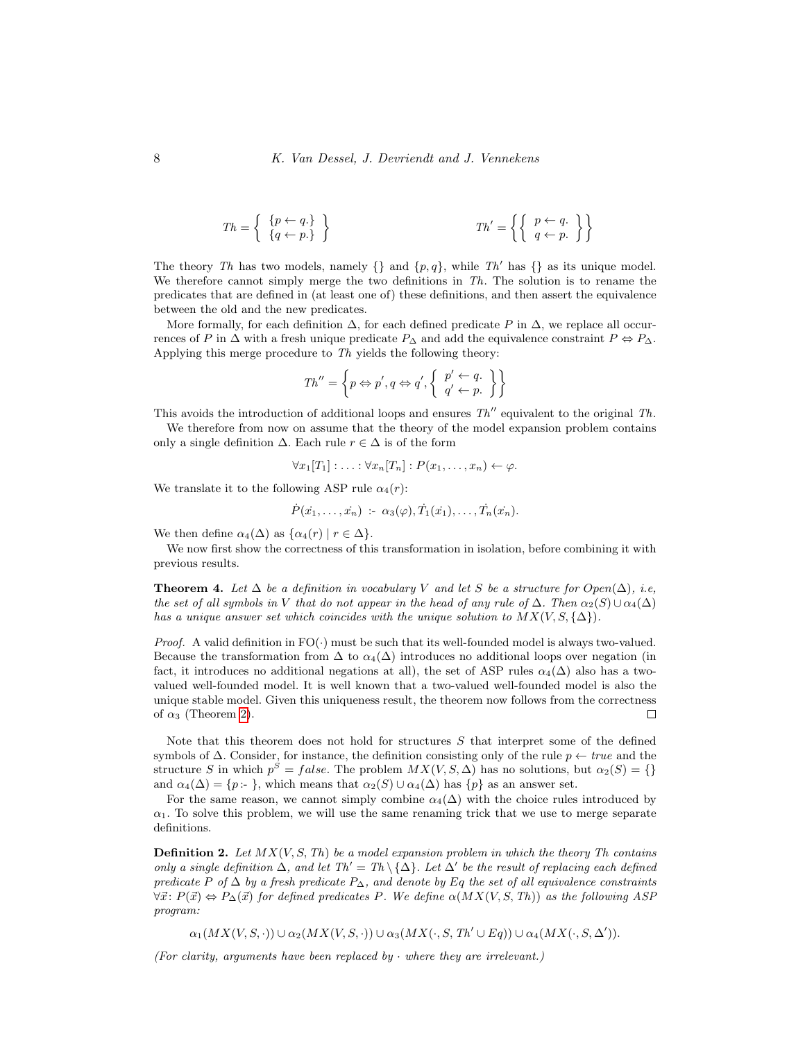$$
Th = \left\{ \begin{array}{c} \{p \leftarrow q.\} \\ \{q \leftarrow p.\} \end{array} \right\} \qquad \qquad Th' = \left\{ \left\{ \begin{array}{c} p \leftarrow q.\ \\ q \leftarrow p.\end{array} \right\} \right\}
$$

The theory Th has two models, namely  $\{\}$  and  $\{p, q\}$ , while Th' has  $\{\}$  as its unique model. We therefore cannot simply merge the two definitions in  $Th$ . The solution is to rename the predicates that are defined in (at least one of) these definitions, and then assert the equivalence between the old and the new predicates.

More formally, for each definition  $\Delta$ , for each defined predicate P in  $\Delta$ , we replace all occurrences of P in  $\Delta$  with a fresh unique predicate  $P_{\Delta}$  and add the equivalence constraint  $P \Leftrightarrow P_{\Delta}$ . Applying this merge procedure to Th yields the following theory:

$$
Th'' = \left\{ p \Leftrightarrow p', q \Leftrightarrow q', \left\{ \begin{array}{l} p' \leftarrow q. \\ q' \leftarrow p. \end{array} \right\} \right\}
$$

This avoids the introduction of additional loops and ensures  $Th''$  equivalent to the original  $Th$ .

We therefore from now on assume that the theory of the model expansion problem contains only a single definition  $\Delta$ . Each rule  $r \in \Delta$  is of the form

$$
\forall x_1[T_1]: \ldots: \forall x_n[T_n]: P(x_1, \ldots, x_n) \leftarrow \varphi.
$$

We translate it to the following ASP rule  $\alpha_4(r)$ :

$$
\dot{P}(x_1,\ldots,x_n) \; : \; \alpha_3(\varphi), \dot{T}_1(x_1),\ldots,\dot{T}_n(x_n).
$$

We then define  $\alpha_4(\Delta)$  as  $\{\alpha_4(r) \mid r \in \Delta\}.$ 

We now first show the correctness of this transformation in isolation, before combining it with previous results.

<span id="page-7-0"></span>**Theorem 4.** Let  $\Delta$  be a definition in vocabulary V and let S be a structure for  $Open(\Delta)$ , i.e, the set of all symbols in V that do not appear in the head of any rule of  $\Delta$ . Then  $\alpha_2(S) \cup \alpha_4(\Delta)$ has a unique answer set which coincides with the unique solution to  $MX(V, S, \{\Delta\})$ .

*Proof.* A valid definition in  $FO(\cdot)$  must be such that its well-founded model is always two-valued. Because the transformation from  $\Delta$  to  $\alpha_4(\Delta)$  introduces no additional loops over negation (in fact, it introduces no additional negations at all), the set of ASP rules  $\alpha_4(\Delta)$  also has a twovalued well-founded model. It is well known that a two-valued well-founded model is also the unique stable model. Given this uniqueness result, the theorem now follows from the correctness of  $\alpha_3$  (Theorem [2\)](#page-6-1).  $\Box$ 

Note that this theorem does not hold for structures S that interpret some of the defined symbols of  $\Delta$ . Consider, for instance, the definition consisting only of the rule  $p \leftarrow true$  and the structure S in which  $p^S = false$ . The problem  $MX(V, S, \Delta)$  has no solutions, but  $\alpha_2(S) = \{\}$ and  $\alpha_4(\Delta) = \{p : \}$ , which means that  $\alpha_2(S) \cup \alpha_4(\Delta)$  has  $\{p\}$  as an answer set.

For the same reason, we cannot simply combine  $\alpha_4(\Delta)$  with the choice rules introduced by  $\alpha_1$ . To solve this problem, we will use the same renaming trick that we use to merge separate definitions.

**Definition 2.** Let  $MX(V, S, Th)$  be a model expansion problem in which the theory Th contains only a single definition  $\Delta$ , and let Th' = Th \{ $\Delta$ }. Let  $\Delta'$  be the result of replacing each defined predicate P of  $\Delta$  by a fresh predicate  $P_{\Delta}$ , and denote by Eq the set of all equivalence constraints  $\forall \vec{x}: P(\vec{x}) \Leftrightarrow P_{\Delta}(\vec{x})$  for defined predicates P. We define  $\alpha(MX(V, S, Th))$  as the following ASP program:

 $\alpha_1(MX(V,S,\cdot)) \cup \alpha_2(MX(V,S,\cdot)) \cup \alpha_3(MX(\cdot, S, Th' \cup Eq)) \cup \alpha_4(MX(\cdot, S, \Delta')).$ 

(For clarity, arguments have been replaced by  $\cdot$  where they are irrelevant.)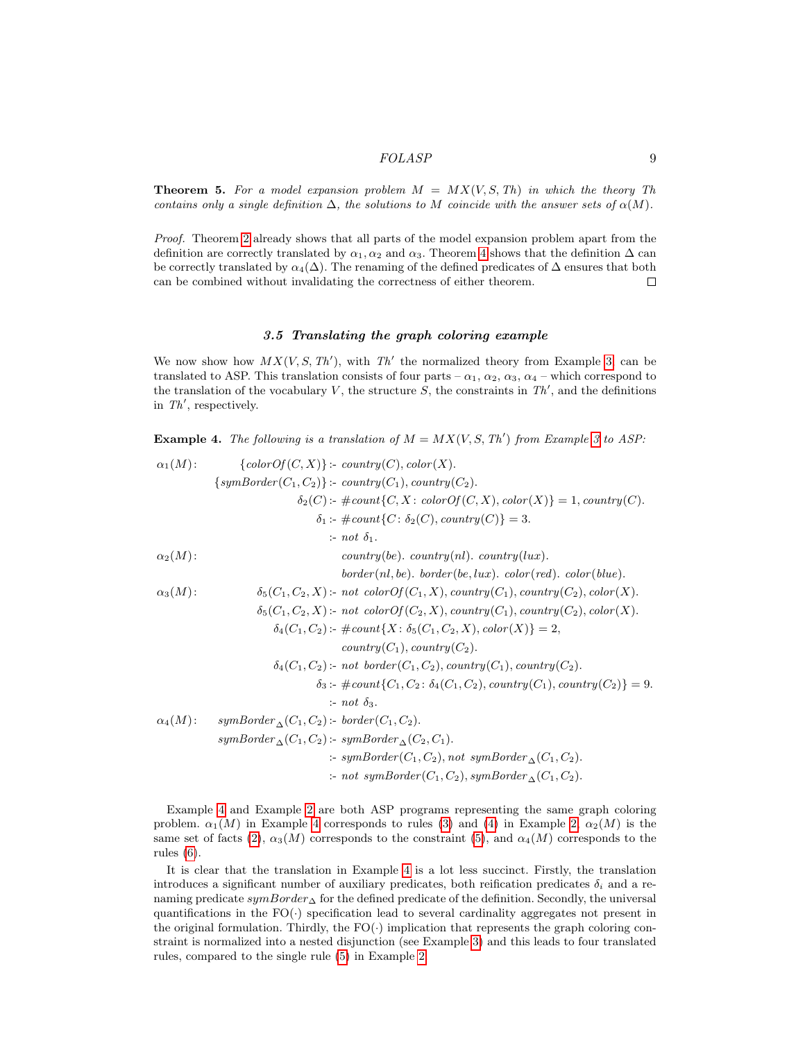**Theorem 5.** For a model expansion problem  $M = MX(V, S, Th)$  in which the theory Th contains only a single definition  $\Delta$ , the solutions to M coincide with the answer sets of  $\alpha(M)$ .

Proof. Theorem [2](#page-6-1) already shows that all parts of the model expansion problem apart from the definition are correctly translated by  $\alpha_1, \alpha_2$  and  $\alpha_3$ . Theorem [4](#page-7-0) shows that the definition  $\Delta$  can be correctly translated by  $\alpha_4(\Delta)$ . The renaming of the defined predicates of  $\Delta$  ensures that both can be combined without invalidating the correctness of either theorem.  $\Box$ 

#### 3.5 Translating the graph coloring example

We now show how  $MX(V, S, Th')$ , with Th' the normalized theory from Example [3,](#page-4-2) can be translated to ASP. This translation consists of four parts –  $\alpha_1$ ,  $\alpha_2$ ,  $\alpha_3$ ,  $\alpha_4$  – which correspond to the translation of the vocabulary V, the structure  $S$ , the constraints in  $Th'$ , and the definitions in  $Th'$ , respectively.

<span id="page-8-0"></span>**Example 4.** The following is a translation of  $M = MX(V, S, Th')$  from Example [3](#page-4-2) to ASP:

$$
\alpha_1(M): \begin{cases}\n\text{colorOf}(C,X)}{\text{symBorder}(C_1,C_2)}: \text{contry}(C), \text{color}(X).\n\end{cases}
$$
\n
$$
\{symBorder(C_1,C_2)\}: \text{contry}(C_1), \text{contry}(C_2).\n\delta_2(C): \#\text{country}(C_1), \text{contry}(C_2).\n\delta_1: \#\text{country}(C): \delta_2(C), \text{contry}(C)\} = 3.\n\therefore \text{not } \delta_1.
$$
\n
$$
\alpha_2(M): \begin{cases}\n\alpha_2(M): \text{contry}(be), \text{contry}(n), \text{contry}(lux).\n\end{cases}
$$
\n
$$
\alpha_3(M): \begin{cases}\n\delta_5(C_1, C_2, X): \text{not } \text{colorOf}(C_1, X), \text{contry}(C_1), \text{contry}(C_2), \text{color}(X).\n\delta_6(C_1, C_2, X): \text{not } \text{colorOf}(C_2, X), \text{contry}(C_1), \text{contry}(C_2), \text{color}(X).\n\delta_4(C_1, C_2): \#\text{countY}(X: \delta_5(C_1, C_2, X), \text{color}(X))\} = 2,\n\end{cases}
$$
\n
$$
\alpha_4(M): \begin{cases}\n\delta_4(C_1, C_2): \text{not } \text{colorOf}(C_1, C_2), \text{contry}(C_1), \text{contry}(C_2).\n\delta_3: \#\text{count}\{C_1, C_2: \delta_4(C_1, C_2), \text{contry}(C_1), \text{contry}(C_2)\} = 9.\n\end{cases}
$$
\n
$$
\alpha_4(M): \begin{cases}\n\text{symBorder}_{\Delta}(C_1, C_2): \text{border}(C_1, C_2).\n\delta_3: \#\text{count}\{C_1, C_2\}, \text{contry}(C_1), \text{contry}(C_2)\} = 9.\n\end{cases}
$$
\n
$$
\alpha_4(M): \begin{cases}\n\text{symBorder}_{\Delta}(C_1, C_2): \text{border}(C_1, C_2).\n\delta_4(C_1, C_2), \text{contry}(C_1, C_2).\n\delta_5: \text{symBorder}(C_1, C_2
$$

Example [4](#page-8-0) and Example [2](#page-3-1) are both ASP programs representing the same graph coloring problem.  $\alpha_1(M)$  in Example [4](#page-8-0) corresponds to rules [\(3\)](#page-3-2) and [\(4\)](#page-3-3) in Example [2,](#page-3-1)  $\alpha_2(M)$  is the same set of facts [\(2\)](#page-3-4),  $\alpha_3(M)$  corresponds to the constraint [\(5\)](#page-3-5), and  $\alpha_4(M)$  corresponds to the rules [\(6\)](#page-3-6).

It is clear that the translation in Example [4](#page-8-0) is a lot less succinct. Firstly, the translation introduces a significant number of auxiliary predicates, both reification predicates  $\delta_i$  and a renaming predicate  $sumBorder_\Delta$  for the defined predicate of the definition. Secondly, the universal quantifications in the  $FO(\cdot)$  specification lead to several cardinality aggregates not present in the original formulation. Thirdly, the  $FO(\cdot)$  implication that represents the graph coloring constraint is normalized into a nested disjunction (see Example [3\)](#page-4-2) and this leads to four translated rules, compared to the single rule [\(5\)](#page-3-5) in Example [2.](#page-3-1)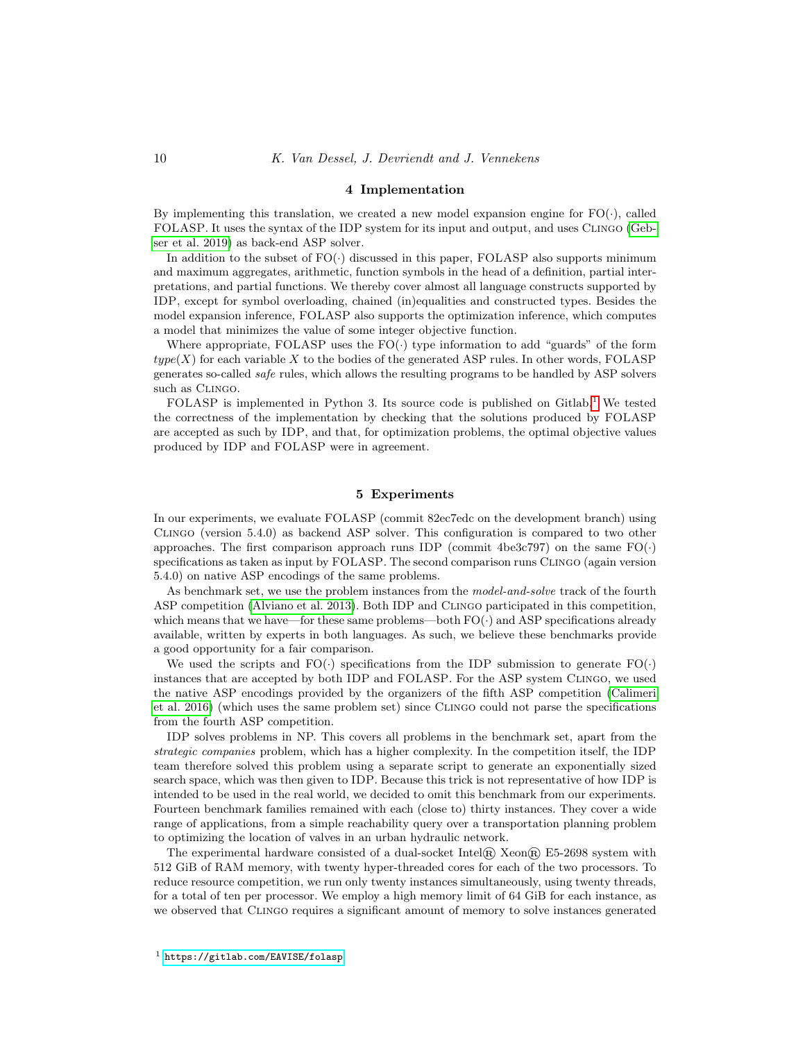#### 4 Implementation

By implementing this translation, we created a new model expansion engine for  $FO(\cdot)$ , called FOLASP. It uses the syntax of the IDP system for its input and output, and uses Clingo [\(Geb](#page-14-10)[ser et al. 2019\)](#page-14-10) as back-end ASP solver.

In addition to the subset of  $FO(\cdot)$  discussed in this paper, FOLASP also supports minimum and maximum aggregates, arithmetic, function symbols in the head of a definition, partial interpretations, and partial functions. We thereby cover almost all language constructs supported by IDP, except for symbol overloading, chained (in)equalities and constructed types. Besides the model expansion inference, FOLASP also supports the optimization inference, which computes a model that minimizes the value of some integer objective function.

Where appropriate, FOLASP uses the  $FO(\cdot)$  type information to add "guards" of the form  $type(X)$  for each variable X to the bodies of the generated ASP rules. In other words, FOLASP generates so-called safe rules, which allows the resulting programs to be handled by ASP solvers such as CLINGO.

FOLASP is implemented in Python 3. Its source code is published on  $Githab$ <sup>[1](#page-9-0)</sup>. We tested the correctness of the implementation by checking that the solutions produced by FOLASP are accepted as such by IDP, and that, for optimization problems, the optimal objective values produced by IDP and FOLASP were in agreement.

## 5 Experiments

In our experiments, we evaluate FOLASP (commit 82ec7edc on the development branch) using Clingo (version 5.4.0) as backend ASP solver. This configuration is compared to two other approaches. The first comparison approach runs IDP (commit 4be3c797) on the same  $FO(\cdot)$ specifications as taken as input by FOLASP. The second comparison runs Clingo (again version 5.4.0) on native ASP encodings of the same problems.

As benchmark set, we use the problem instances from the model-and-solve track of the fourth ASP competition [\(Alviano et al. 2013\)](#page-13-3). Both IDP and Clingo participated in this competition, which means that we have—for these same problems—both  $FO(\cdot)$  and ASP specifications already available, written by experts in both languages. As such, we believe these benchmarks provide a good opportunity for a fair comparison.

We used the scripts and  $FO(\cdot)$  specifications from the IDP submission to generate  $FO(\cdot)$ instances that are accepted by both IDP and FOLASP. For the ASP system Clingo, we used the native ASP encodings provided by the organizers of the fifth ASP competition [\(Calimeri](#page-13-4) [et al. 2016\)](#page-13-4) (which uses the same problem set) since Clingo could not parse the specifications from the fourth ASP competition.

IDP solves problems in NP. This covers all problems in the benchmark set, apart from the strategic companies problem, which has a higher complexity. In the competition itself, the IDP team therefore solved this problem using a separate script to generate an exponentially sized search space, which was then given to IDP. Because this trick is not representative of how IDP is intended to be used in the real world, we decided to omit this benchmark from our experiments. Fourteen benchmark families remained with each (close to) thirty instances. They cover a wide range of applications, from a simple reachability query over a transportation planning problem to optimizing the location of valves in an urban hydraulic network.

The experimental hardware consisted of a dual-socket Intel® Xeon® E5-2698 system with 512 GiB of RAM memory, with twenty hyper-threaded cores for each of the two processors. To reduce resource competition, we run only twenty instances simultaneously, using twenty threads, for a total of ten per processor. We employ a high memory limit of 64 GiB for each instance, as we observed that Clingo requires a significant amount of memory to solve instances generated

<span id="page-9-0"></span><sup>1</sup> <https://gitlab.com/EAVISE/folasp>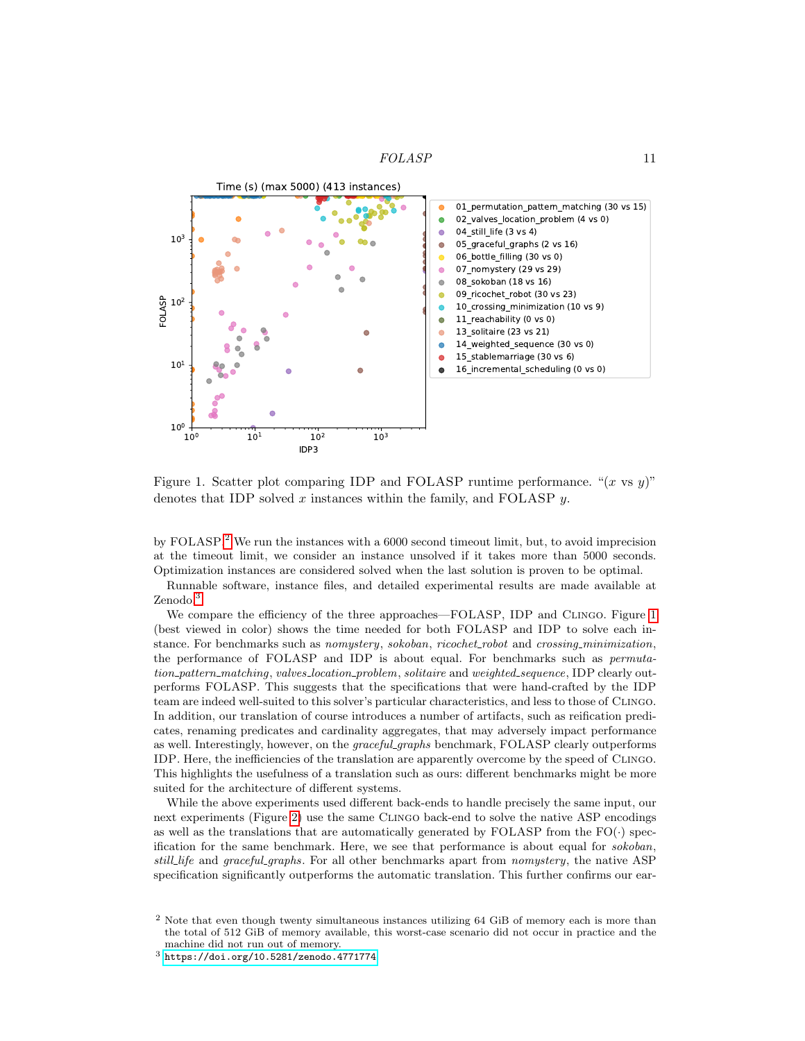

<span id="page-10-2"></span>Figure 1. Scatter plot comparing IDP and FOLASP runtime performance. " $(x \text{ vs } y)$ " denotes that IDP solved  $x$  instances within the family, and FOLASP  $y$ .

by FOLASP.<sup>[2](#page-10-0)</sup> We run the instances with a 6000 second timeout limit, but, to avoid imprecision at the timeout limit, we consider an instance unsolved if it takes more than 5000 seconds. Optimization instances are considered solved when the last solution is proven to be optimal.

Runnable software, instance files, and detailed experimental results are made available at Zenodo.<sup>[3](#page-10-1)</sup>

We compare the efficiency of the three approaches—FOLASP, IDP and Clingo. Figure [1](#page-10-2) (best viewed in color) shows the time needed for both FOLASP and IDP to solve each instance. For benchmarks such as nomystery, sokoban, ricochet\_robot and crossing\_minimization, the performance of FOLASP and IDP is about equal. For benchmarks such as permutation pattern matching, valves location problem, solitaire and weighted sequence, IDP clearly outperforms FOLASP. This suggests that the specifications that were hand-crafted by the IDP team are indeed well-suited to this solver's particular characteristics, and less to those of Clingo. In addition, our translation of course introduces a number of artifacts, such as reification predicates, renaming predicates and cardinality aggregates, that may adversely impact performance as well. Interestingly, however, on the *graceful graphs* benchmark, FOLASP clearly outperforms IDP. Here, the inefficiencies of the translation are apparently overcome by the speed of Clingo. This highlights the usefulness of a translation such as ours: different benchmarks might be more suited for the architecture of different systems.

While the above experiments used different back-ends to handle precisely the same input, our next experiments (Figure [2\)](#page-11-0) use the same Clingo back-end to solve the native ASP encodings as well as the translations that are automatically generated by FOLASP from the  $FO(\cdot)$  specification for the same benchmark. Here, we see that performance is about equal for sokoban, still life and graceful graphs. For all other benchmarks apart from nomystery, the native ASP specification significantly outperforms the automatic translation. This further confirms our ear-

<span id="page-10-0"></span><sup>&</sup>lt;sup>2</sup> Note that even though twenty simultaneous instances utilizing 64 GiB of memory each is more than the total of 512 GiB of memory available, this worst-case scenario did not occur in practice and the machine did not run out of memory.

<span id="page-10-1"></span> $3$  <https://doi.org/10.5281/zenodo.4771774>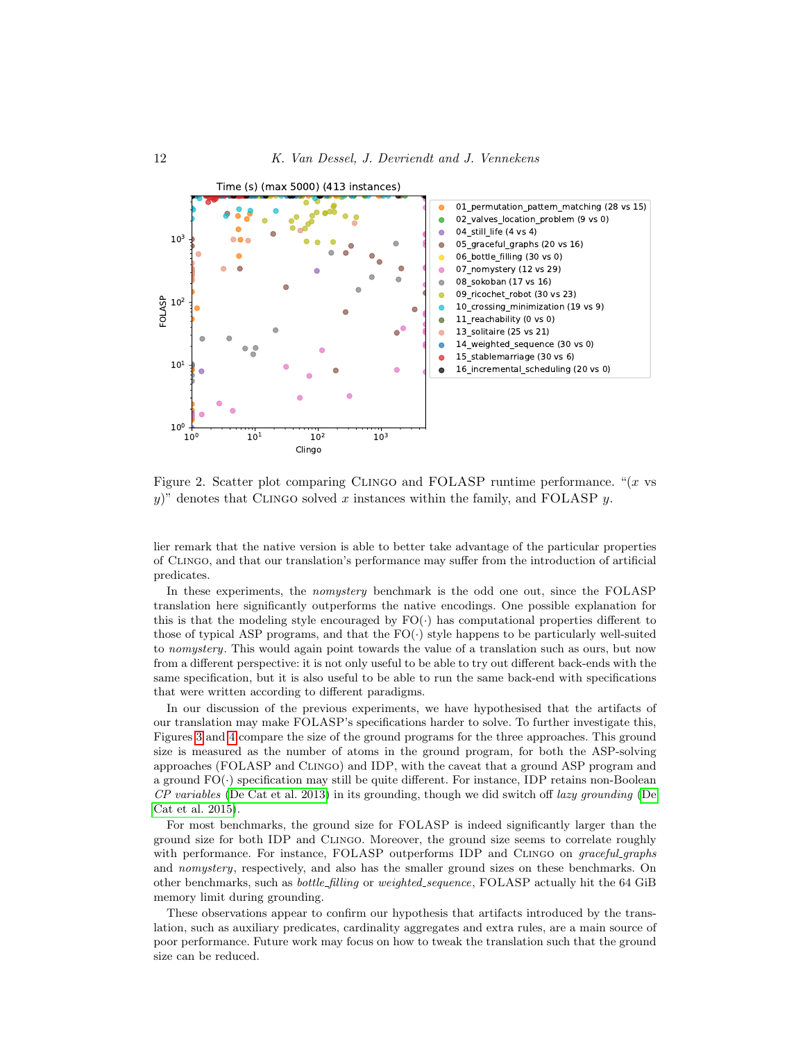

<span id="page-11-0"></span>Figure 2. Scatter plot comparing CLINGO and FOLASP runtime performance. " $(x \text{ vs }$ y)" denotes that CLINGO solved x instances within the family, and FOLASP  $y$ .

lier remark that the native version is able to better take advantage of the particular properties of Clingo, and that our translation's performance may suffer from the introduction of artificial predicates.

In these experiments, the nomystery benchmark is the odd one out, since the FOLASP translation here significantly outperforms the native encodings. One possible explanation for this is that the modeling style encouraged by  $FO(\cdot)$  has computational properties different to those of typical ASP programs, and that the  $FO(\cdot)$  style happens to be particularly well-suited to nomystery. This would again point towards the value of a translation such as ours, but now from a different perspective: it is not only useful to be able to try out different back-ends with the same specification, but it is also useful to be able to run the same back-end with specifications that were written according to different paradigms.

In our discussion of the previous experiments, we have hypothesised that the artifacts of our translation may make FOLASP's specifications harder to solve. To further investigate this, Figures [3](#page-12-0) and [4](#page-12-1) compare the size of the ground programs for the three approaches. This ground size is measured as the number of atoms in the ground program, for both the ASP-solving approaches (FOLASP and Clingo) and IDP, with the caveat that a ground ASP program and a ground FO(·) specification may still be quite different. For instance, IDP retains non-Boolean  $CP$  variables [\(De Cat et al. 2013\)](#page-13-5) in its grounding, though we did switch off lazy grounding [\(De](#page-14-11) [Cat et al. 2015\)](#page-14-11).

For most benchmarks, the ground size for FOLASP is indeed significantly larger than the ground size for both IDP and Clingo. Moreover, the ground size seems to correlate roughly with performance. For instance, FOLASP outperforms IDP and CLINGO on *graceful graphs* and nomystery, respectively, and also has the smaller ground sizes on these benchmarks. On other benchmarks, such as *bottle\_filling* or *weighted\_sequence*, FOLASP actually hit the 64 GiB memory limit during grounding.

These observations appear to confirm our hypothesis that artifacts introduced by the translation, such as auxiliary predicates, cardinality aggregates and extra rules, are a main source of poor performance. Future work may focus on how to tweak the translation such that the ground size can be reduced.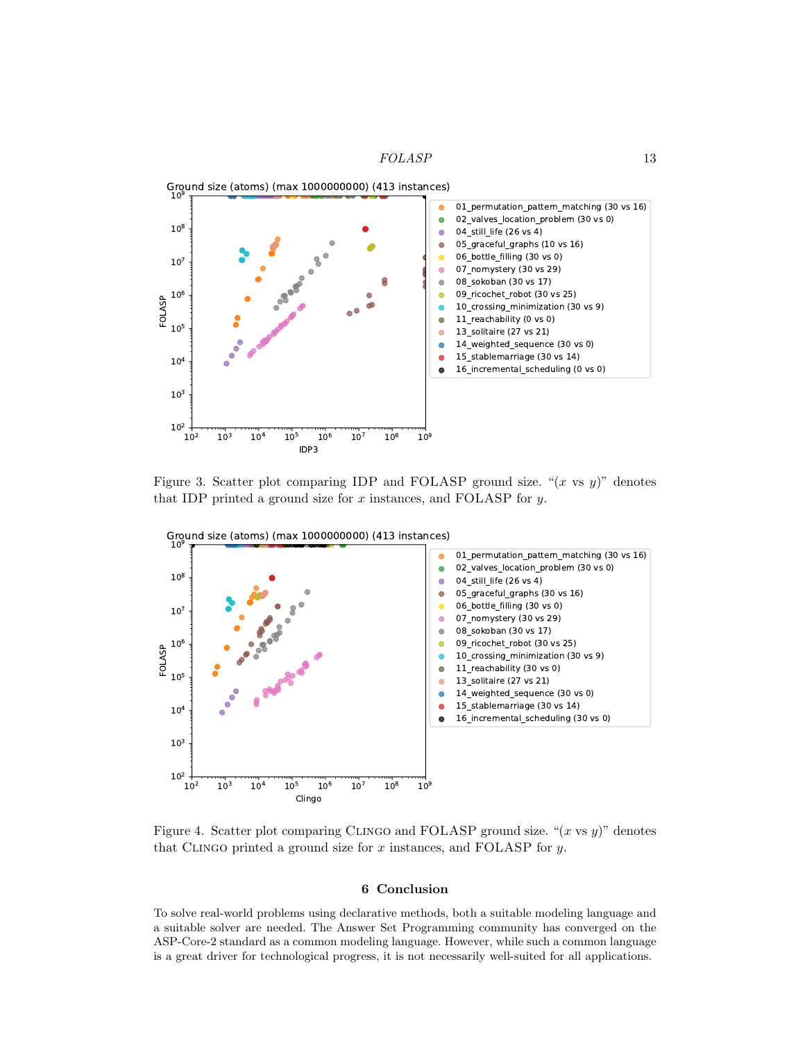

<span id="page-12-0"></span>Figure 3. Scatter plot comparing IDP and FOLASP ground size. " $(x \text{ vs } y)$ " denotes that IDP printed a ground size for  $x$  instances, and FOLASP for  $y$ .



<span id="page-12-1"></span>Figure 4. Scatter plot comparing CLINGO and FOLASP ground size. " $(x \text{ vs } y)$ " denotes that CLINGO printed a ground size for  $x$  instances, and FOLASP for  $y$ .

## 6 Conclusion

To solve real-world problems using declarative methods, both a suitable modeling language and a suitable solver are needed. The Answer Set Programming community has converged on the ASP-Core-2 standard as a common modeling language. However, while such a common language is a great driver for technological progress, it is not necessarily well-suited for all applications.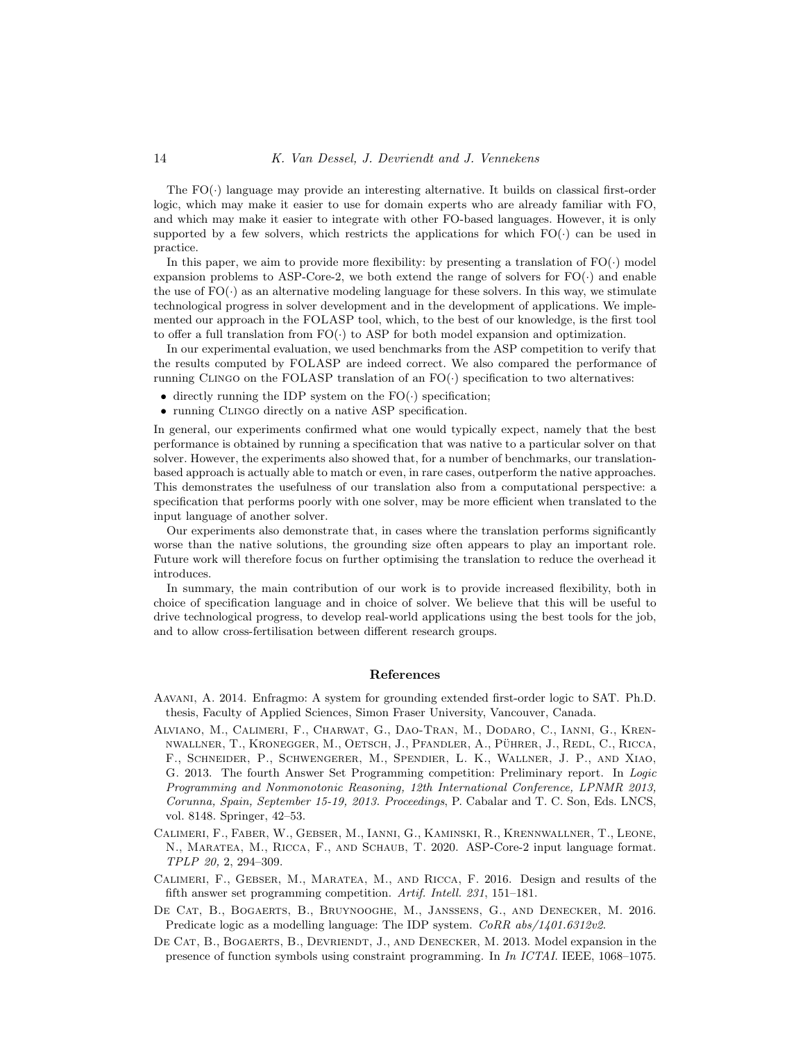#### 14 K. Van Dessel, J. Devriendt and J. Vennekens

The  $FO(\cdot)$  language may provide an interesting alternative. It builds on classical first-order logic, which may make it easier to use for domain experts who are already familiar with FO, and which may make it easier to integrate with other FO-based languages. However, it is only supported by a few solvers, which restricts the applications for which  $FO(\cdot)$  can be used in practice.

In this paper, we aim to provide more flexibility: by presenting a translation of  $FO(\cdot)$  model expansion problems to ASP-Core-2, we both extend the range of solvers for  $FO(\cdot)$  and enable the use of  $FO(\cdot)$  as an alternative modeling language for these solvers. In this way, we stimulate technological progress in solver development and in the development of applications. We implemented our approach in the FOLASP tool, which, to the best of our knowledge, is the first tool to offer a full translation from  $FO(\cdot)$  to ASP for both model expansion and optimization.

In our experimental evaluation, we used benchmarks from the ASP competition to verify that the results computed by FOLASP are indeed correct. We also compared the performance of running CLINGO on the FOLASP translation of an  $FO(\cdot)$  specification to two alternatives:

- directly running the IDP system on the  $FO(\cdot)$  specification;
- running Clingo directly on a native ASP specification.

In general, our experiments confirmed what one would typically expect, namely that the best performance is obtained by running a specification that was native to a particular solver on that solver. However, the experiments also showed that, for a number of benchmarks, our translationbased approach is actually able to match or even, in rare cases, outperform the native approaches. This demonstrates the usefulness of our translation also from a computational perspective: a specification that performs poorly with one solver, may be more efficient when translated to the input language of another solver.

Our experiments also demonstrate that, in cases where the translation performs significantly worse than the native solutions, the grounding size often appears to play an important role. Future work will therefore focus on further optimising the translation to reduce the overhead it introduces.

In summary, the main contribution of our work is to provide increased flexibility, both in choice of specification language and in choice of solver. We believe that this will be useful to drive technological progress, to develop real-world applications using the best tools for the job, and to allow cross-fertilisation between different research groups.

## References

- <span id="page-13-2"></span>Aavani, A. 2014. Enfragmo: A system for grounding extended first-order logic to SAT. Ph.D. thesis, Faculty of Applied Sciences, Simon Fraser University, Vancouver, Canada.
- <span id="page-13-3"></span>Alviano, M., Calimeri, F., Charwat, G., Dao-Tran, M., Dodaro, C., Ianni, G., Krennwallner, T., Kronegger, M., Oetsch, J., Pfandler, A., Pührer, J., Redl, C., Ricca, F., Schneider, P., Schwengerer, M., Spendier, L. K., Wallner, J. P., and Xiao, G. 2013. The fourth Answer Set Programming competition: Preliminary report. In Logic Programming and Nonmonotonic Reasoning, 12th International Conference, LPNMR 2013, Corunna, Spain, September 15-19, 2013. Proceedings, P. Cabalar and T. C. Son, Eds. LNCS, vol. 8148. Springer, 42–53.
- <span id="page-13-0"></span>Calimeri, F., Faber, W., Gebser, M., Ianni, G., Kaminski, R., Krennwallner, T., Leone, N., Maratea, M., Ricca, F., and Schaub, T. 2020. ASP-Core-2 input language format. TPLP 20, 2, 294–309.
- <span id="page-13-4"></span>Calimeri, F., Gebser, M., Maratea, M., and Ricca, F. 2016. Design and results of the fifth answer set programming competition. Artif. Intell. 231, 151–181.
- <span id="page-13-1"></span>De Cat, B., Bogaerts, B., Bruynooghe, M., Janssens, G., and Denecker, M. 2016. Predicate logic as a modelling language: The IDP system. CoRR abs/1401.6312v2.
- <span id="page-13-5"></span>DE CAT, B., BOGAERTS, B., DEVRIENDT, J., AND DENECKER, M. 2013. Model expansion in the presence of function symbols using constraint programming. In In ICTAI. IEEE, 1068–1075.